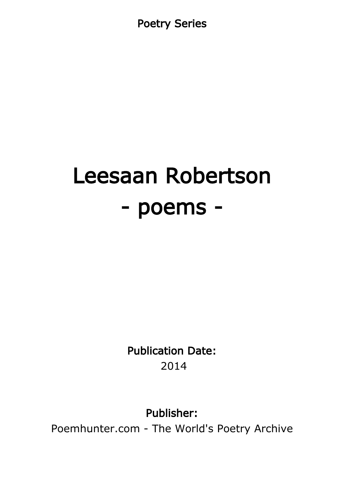Poetry Series

# Leesaan Robertson - poems -

Publication Date: 2014

Publisher:

Poemhunter.com - The World's Poetry Archive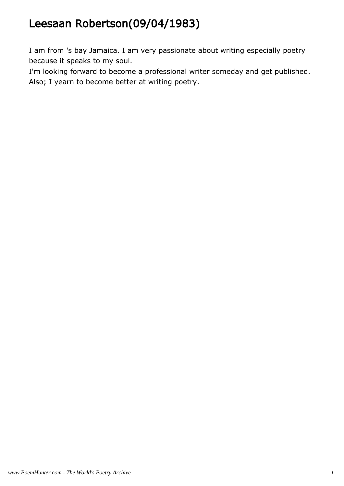# Leesaan Robertson(09/04/1983)

I am from 's bay Jamaica. I am very passionate about writing especially poetry because it speaks to my soul.

I'm looking forward to become a professional writer someday and get published. Also; I yearn to become better at writing poetry.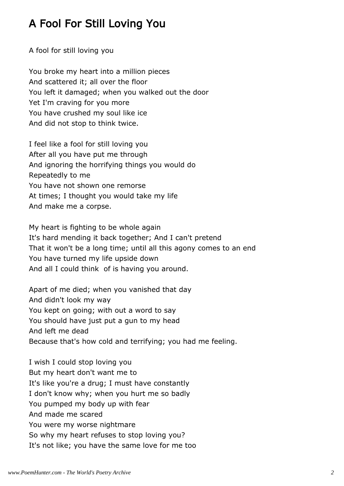# A Fool For Still Loving You

A fool for still loving you

You broke my heart into a million pieces And scattered it; all over the floor You left it damaged; when you walked out the door Yet I'm craving for you more You have crushed my soul like ice And did not stop to think twice.

I feel like a fool for still loving you After all you have put me through And ignoring the horrifying things you would do Repeatedly to me You have not shown one remorse At times; I thought you would take my life And make me a corpse.

My heart is fighting to be whole again It's hard mending it back together; And I can't pretend That it won't be a long time; until all this agony comes to an end You have turned my life upside down And all I could think of is having you around.

Apart of me died; when you vanished that day And didn't look my way You kept on going; with out a word to say You should have just put a gun to my head And left me dead Because that's how cold and terrifying; you had me feeling.

I wish I could stop loving you But my heart don't want me to It's like you're a drug; I must have constantly I don't know why; when you hurt me so badly You pumped my body up with fear And made me scared You were my worse nightmare So why my heart refuses to stop loving you? It's not like; you have the same love for me too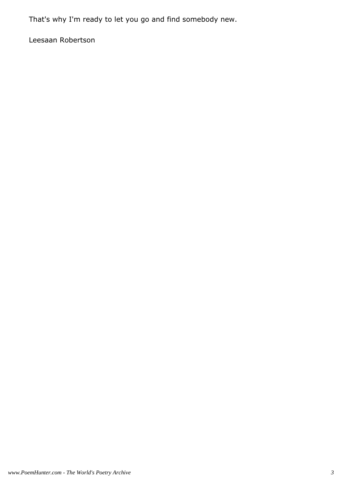That's why I'm ready to let you go and find somebody new.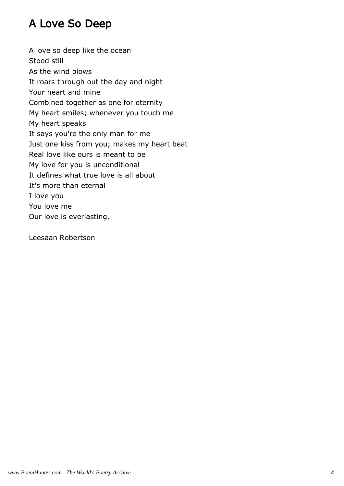# A Love So Deep

A love so deep like the ocean Stood still As the wind blows It roars through out the day and night Your heart and mine Combined together as one for eternity My heart smiles; whenever you touch me My heart speaks It says you're the only man for me Just one kiss from you; makes my heart beat Real love like ours is meant to be My love for you is unconditional It defines what true love is all about It's more than eternal I love you You love me Our love is everlasting.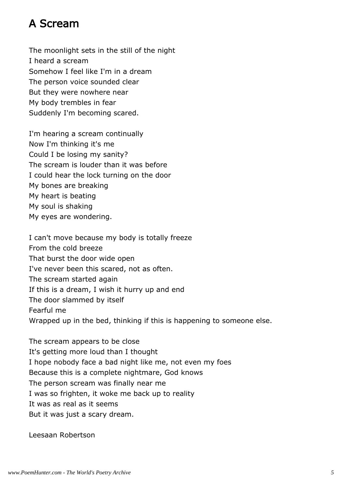#### A Scream

The moonlight sets in the still of the night I heard a scream Somehow I feel like I'm in a dream The person voice sounded clear But they were nowhere near My body trembles in fear Suddenly I'm becoming scared.

I'm hearing a scream continually Now I'm thinking it's me Could I be losing my sanity? The scream is louder than it was before I could hear the lock turning on the door My bones are breaking My heart is beating My soul is shaking My eyes are wondering.

I can't move because my body is totally freeze From the cold breeze That burst the door wide open I've never been this scared, not as often. The scream started again If this is a dream, I wish it hurry up and end The door slammed by itself Fearful me Wrapped up in the bed, thinking if this is happening to someone else.

The scream appears to be close It's getting more loud than I thought I hope nobody face a bad night like me, not even my foes Because this is a complete nightmare, God knows The person scream was finally near me I was so frighten, it woke me back up to reality It was as real as it seems But it was just a scary dream.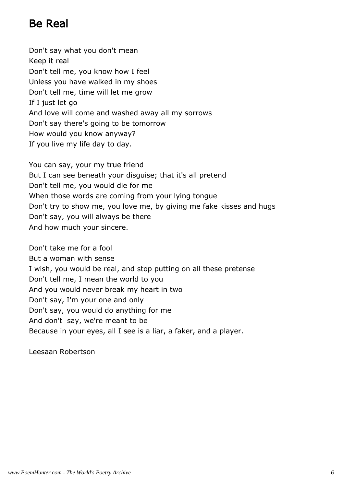## Be Real

Don't say what you don't mean Keep it real Don't tell me, you know how I feel Unless you have walked in my shoes Don't tell me, time will let me grow If I just let go And love will come and washed away all my sorrows Don't say there's going to be tomorrow How would you know anyway? If you live my life day to day.

You can say, your my true friend But I can see beneath your disguise; that it's all pretend Don't tell me, you would die for me When those words are coming from your lying tongue Don't try to show me, you love me, by giving me fake kisses and hugs Don't say, you will always be there And how much your sincere.

Don't take me for a fool But a woman with sense I wish, you would be real, and stop putting on all these pretense Don't tell me, I mean the world to you And you would never break my heart in two Don't say, I'm your one and only Don't say, you would do anything for me And don't say, we're meant to be Because in your eyes, all I see is a liar, a faker, and a player.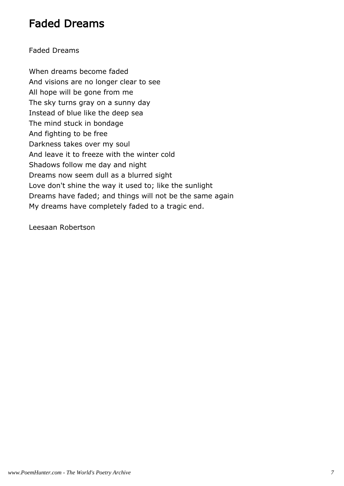#### Faded Dreams

#### Faded Dreams

When dreams become faded And visions are no longer clear to see All hope will be gone from me The sky turns gray on a sunny day Instead of blue like the deep sea The mind stuck in bondage And fighting to be free Darkness takes over my soul And leave it to freeze with the winter cold Shadows follow me day and night Dreams now seem dull as a blurred sight Love don't shine the way it used to; like the sunlight Dreams have faded; and things will not be the same again My dreams have completely faded to a tragic end.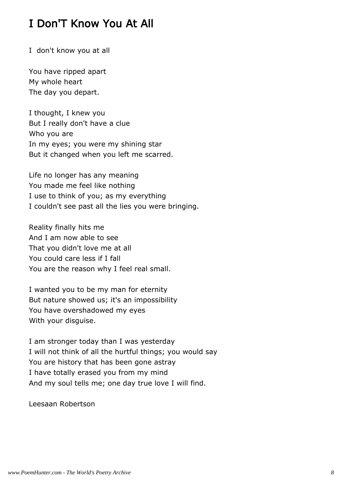## I Don'T Know You At All

I don't know you at all

You have ripped apart My whole heart The day you depart.

I thought, I knew you But I really don't have a clue Who you are In my eyes; you were my shining star But it changed when you left me scarred.

Life no longer has any meaning You made me feel like nothing I use to think of you; as my everything I couldn't see past all the lies you were bringing.

Reality finally hits me And I am now able to see That you didn't love me at all You could care less if I fall You are the reason why I feel real small.

I wanted you to be my man for eternity But nature showed us; it's an impossibility You have overshadowed my eyes With your disguise.

I am stronger today than I was yesterday I will not think of all the hurtful things; you would say You are history that has been gone astray I have totally erased you from my mind And my soul tells me; one day true love I will find.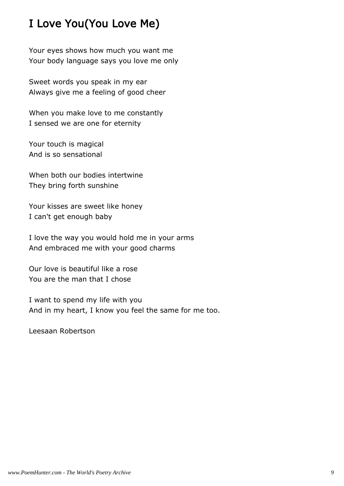# I Love You(You Love Me)

Your eyes shows how much you want me Your body language says you love me only

Sweet words you speak in my ear Always give me a feeling of good cheer

When you make love to me constantly I sensed we are one for eternity

Your touch is magical And is so sensational

When both our bodies intertwine They bring forth sunshine

Your kisses are sweet like honey I can't get enough baby

I love the way you would hold me in your arms And embraced me with your good charms

Our love is beautiful like a rose You are the man that I chose

I want to spend my life with you And in my heart, I know you feel the same for me too.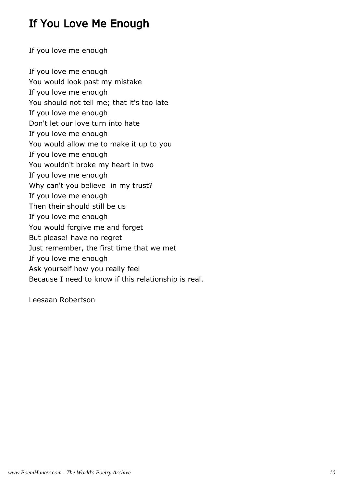# If You Love Me Enough

If you love me enough

If you love me enough You would look past my mistake If you love me enough You should not tell me; that it's too late If you love me enough Don't let our love turn into hate If you love me enough You would allow me to make it up to you If you love me enough You wouldn't broke my heart in two If you love me enough Why can't you believe in my trust? If you love me enough Then their should still be us If you love me enough You would forgive me and forget But please! have no regret Just remember, the first time that we met If you love me enough Ask yourself how you really feel Because I need to know if this relationship is real.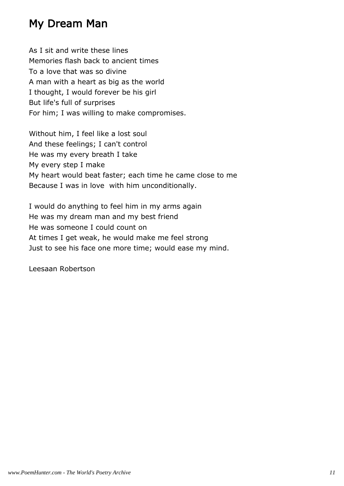### My Dream Man

As I sit and write these lines Memories flash back to ancient times To a love that was so divine A man with a heart as big as the world I thought, I would forever be his girl But life's full of surprises For him; I was willing to make compromises.

Without him, I feel like a lost soul And these feelings; I can't control He was my every breath I take My every step I make My heart would beat faster; each time he came close to me Because I was in love with him unconditionally.

I would do anything to feel him in my arms again He was my dream man and my best friend He was someone I could count on At times I get weak, he would make me feel strong Just to see his face one more time; would ease my mind.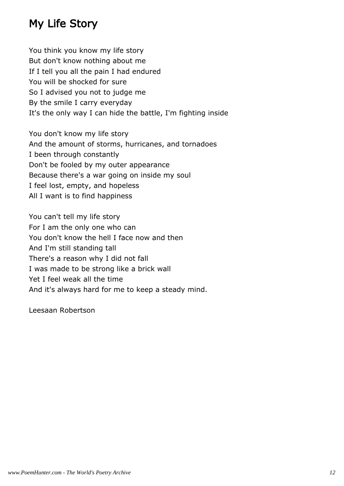# My Life Story

You think you know my life story But don't know nothing about me If I tell you all the pain I had endured You will be shocked for sure So I advised you not to judge me By the smile I carry everyday It's the only way I can hide the battle, I'm fighting inside

You don't know my life story And the amount of storms, hurricanes, and tornadoes I been through constantly Don't be fooled by my outer appearance Because there's a war going on inside my soul I feel lost, empty, and hopeless All I want is to find happiness

You can't tell my life story For I am the only one who can You don't know the hell I face now and then And I'm still standing tall There's a reason why I did not fall I was made to be strong like a brick wall Yet I feel weak all the time And it's always hard for me to keep a steady mind.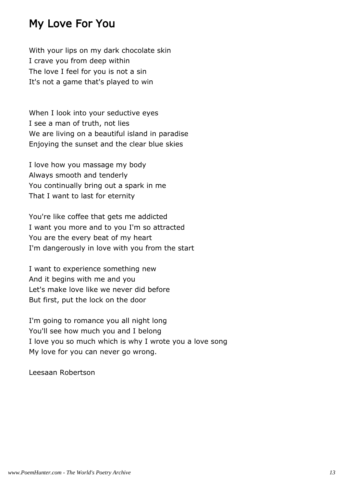#### My Love For You

With your lips on my dark chocolate skin I crave you from deep within The love I feel for you is not a sin It's not a game that's played to win

When I look into your seductive eyes I see a man of truth, not lies We are living on a beautiful island in paradise Enjoying the sunset and the clear blue skies

I love how you massage my body Always smooth and tenderly You continually bring out a spark in me That I want to last for eternity

You're like coffee that gets me addicted I want you more and to you I'm so attracted You are the every beat of my heart I'm dangerously in love with you from the start

I want to experience something new And it begins with me and you Let's make love like we never did before But first, put the lock on the door

I'm going to romance you all night long You'll see how much you and I belong I love you so much which is why I wrote you a love song My love for you can never go wrong.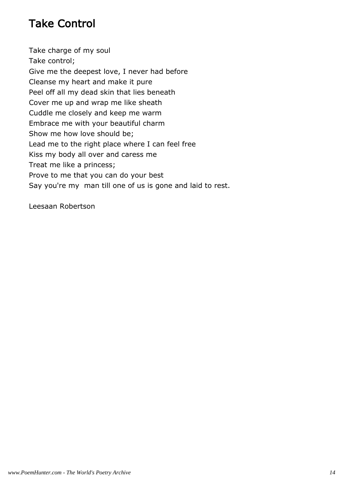# Take Control

Take charge of my soul Take control; Give me the deepest love, I never had before Cleanse my heart and make it pure Peel off all my dead skin that lies beneath Cover me up and wrap me like sheath Cuddle me closely and keep me warm Embrace me with your beautiful charm Show me how love should be; Lead me to the right place where I can feel free Kiss my body all over and caress me Treat me like a princess; Prove to me that you can do your best Say you're my man till one of us is gone and laid to rest.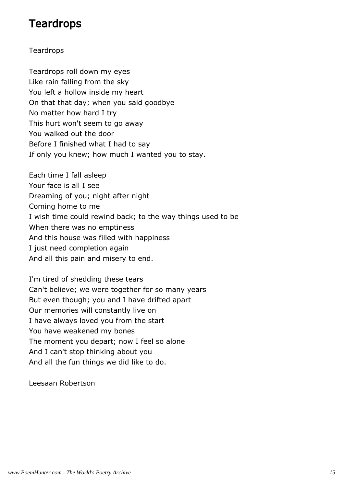#### **Teardrops**

#### **Teardrops**

Teardrops roll down my eyes Like rain falling from the sky You left a hollow inside my heart On that that day; when you said goodbye No matter how hard I try This hurt won't seem to go away You walked out the door Before I finished what I had to say If only you knew; how much I wanted you to stay.

Each time I fall asleep Your face is all I see Dreaming of you; night after night Coming home to me I wish time could rewind back; to the way things used to be When there was no emptiness And this house was filled with happiness I just need completion again And all this pain and misery to end.

I'm tired of shedding these tears Can't believe; we were together for so many years But even though; you and I have drifted apart Our memories will constantly live on I have always loved you from the start You have weakened my bones The moment you depart; now I feel so alone And I can't stop thinking about you And all the fun things we did like to do.